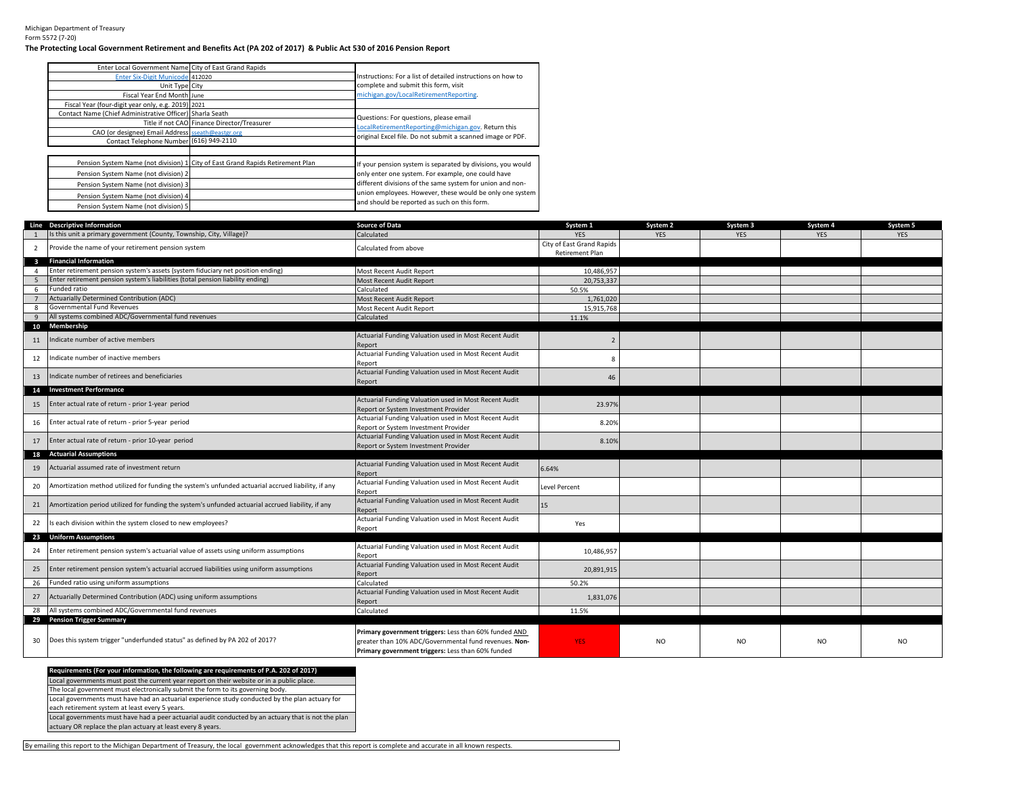## Michigan Department of Treasury Form 5572 (7-20)

## **The Protecting Local Government Retirement and Benefits Act (PA 202 of 2017) & Public Act 530 of 2016 Pension Report**

| Enter Local Government Name City of East Grand Rapids    |                                                                                |                                                             |
|----------------------------------------------------------|--------------------------------------------------------------------------------|-------------------------------------------------------------|
| Enter Six-Digit Municode 412020                          |                                                                                | Instructions: For a list of detailed instructions on how to |
| Unit Type City                                           |                                                                                | complete and submit this form, visit                        |
| Fiscal Year End Month June                               |                                                                                | michigan.gov/LocalRetirementReporting.                      |
| Fiscal Year (four-digit year only, e.g. 2019) 2021       |                                                                                |                                                             |
| Contact Name (Chief Administrative Officer) Sharla Seath |                                                                                | Questions: For questions, please email                      |
|                                                          | Title if not CAO Finance Director/Treasurer                                    |                                                             |
| CAO (or designee) Email Address sseath@eastgr.org        |                                                                                | LocalRetirementReporting@michigan.gov. Return this          |
| Contact Telephone Number (616) 949-2110                  |                                                                                | original Excel file. Do not submit a scanned image or PDF.  |
|                                                          |                                                                                |                                                             |
|                                                          | Pension System Name (not division) 1 City of East Grand Rapids Retirement Plan | If your pension system is separated by divisions, you would |
| Pension System Name (not division) 2                     |                                                                                | only enter one system. For example, one could have          |
| Pension System Name (not division) 3                     |                                                                                | different divisions of the same system for union and non-   |
| Pension System Name (not division) 4                     |                                                                                | union employees. However, these would be only one system    |
| Pension System Name (not division) 5                     |                                                                                | and should be reported as such on this form.                |

|                         | Line Descriptive Information                                                                       | Source of Data                                                                                                                                                      | System 1                                     | System 2   | System 3   | System 4   | System 5   |
|-------------------------|----------------------------------------------------------------------------------------------------|---------------------------------------------------------------------------------------------------------------------------------------------------------------------|----------------------------------------------|------------|------------|------------|------------|
|                         | Is this unit a primary government (County, Township, City, Village)?                               | Calculated                                                                                                                                                          | <b>YES</b>                                   | <b>YES</b> | <b>YES</b> | <b>YES</b> | <b>YES</b> |
| $\overline{2}$          | Provide the name of your retirement pension system                                                 | Calculated from above                                                                                                                                               | City of East Grand Rapids<br>Retirement Plan |            |            |            |            |
| $\overline{\mathbf{3}}$ | <b>Financial Information</b>                                                                       |                                                                                                                                                                     |                                              |            |            |            |            |
| $\overline{4}$          | Enter retirement pension system's assets (system fiduciary net position ending)                    | Most Recent Audit Report                                                                                                                                            | 10,486,957                                   |            |            |            |            |
| - 5                     | Enter retirement pension system's liabilities (total pension liability ending)                     | Most Recent Audit Report                                                                                                                                            | 20,753,337                                   |            |            |            |            |
| 6                       | Funded ratio                                                                                       | Calculated                                                                                                                                                          | 50.5%                                        |            |            |            |            |
|                         | <b>Actuarially Determined Contribution (ADC)</b>                                                   | Most Recent Audit Report                                                                                                                                            | 1,761,020                                    |            |            |            |            |
| -8                      | Governmental Fund Revenues                                                                         | Most Recent Audit Report                                                                                                                                            | 15,915,768                                   |            |            |            |            |
| 9                       | All systems combined ADC/Governmental fund revenues                                                | Calculated                                                                                                                                                          | 11.1%                                        |            |            |            |            |
|                         | 10 Membership                                                                                      |                                                                                                                                                                     |                                              |            |            |            |            |
| 11                      | Indicate number of active members                                                                  | Actuarial Funding Valuation used in Most Recent Audit<br>Report                                                                                                     |                                              |            |            |            |            |
| 12                      | Indicate number of inactive members                                                                | Actuarial Funding Valuation used in Most Recent Audit<br>Report                                                                                                     |                                              |            |            |            |            |
| 13                      | Indicate number of retirees and beneficiaries                                                      | Actuarial Funding Valuation used in Most Recent Audit<br>Report                                                                                                     | 46                                           |            |            |            |            |
|                         | 14 Investment Performance                                                                          |                                                                                                                                                                     |                                              |            |            |            |            |
| 15                      | Enter actual rate of return - prior 1-year period                                                  | Actuarial Funding Valuation used in Most Recent Audit<br>Report or System Investment Provider                                                                       | 23.97%                                       |            |            |            |            |
| 16                      | Enter actual rate of return - prior 5-year period                                                  | Actuarial Funding Valuation used in Most Recent Audit<br>Report or System Investment Provider                                                                       | 8.20%                                        |            |            |            |            |
| 17                      | Enter actual rate of return - prior 10-year period                                                 | Actuarial Funding Valuation used in Most Recent Audit<br>Report or System Investment Provider                                                                       | 8.10%                                        |            |            |            |            |
|                         | 18 Actuarial Assumptions                                                                           |                                                                                                                                                                     |                                              |            |            |            |            |
| 19                      | Actuarial assumed rate of investment return                                                        | Actuarial Funding Valuation used in Most Recent Audit<br>Report                                                                                                     | 6.64%                                        |            |            |            |            |
| 20                      | Amortization method utilized for funding the system's unfunded actuarial accrued liability, if any | Actuarial Funding Valuation used in Most Recent Audit<br>Report                                                                                                     | Level Percent                                |            |            |            |            |
| 21                      | Amortization period utilized for funding the system's unfunded actuarial accrued liability, if any | Actuarial Funding Valuation used in Most Recent Audit<br>Report                                                                                                     | 15                                           |            |            |            |            |
| 22                      | s each division within the system closed to new employees?                                         | Actuarial Funding Valuation used in Most Recent Audit<br>Report                                                                                                     | Yes                                          |            |            |            |            |
|                         | 23 Uniform Assumptions                                                                             |                                                                                                                                                                     |                                              |            |            |            |            |
| 24                      | Enter retirement pension system's actuarial value of assets using uniform assumptions              | Actuarial Funding Valuation used in Most Recent Audit<br>Report                                                                                                     | 10,486,957                                   |            |            |            |            |
| 25                      | Enter retirement pension system's actuarial accrued liabilities using uniform assumptions          | Actuarial Funding Valuation used in Most Recent Audit<br>Report                                                                                                     | 20,891,915                                   |            |            |            |            |
| 26                      | Funded ratio using uniform assumptions                                                             | Calculated                                                                                                                                                          | 50.2%                                        |            |            |            |            |
| 27                      | Actuarially Determined Contribution (ADC) using uniform assumptions                                | Actuarial Funding Valuation used in Most Recent Audit<br>Report                                                                                                     | 1,831,076                                    |            |            |            |            |
| 28                      | All systems combined ADC/Governmental fund revenues                                                | Calculated                                                                                                                                                          | 11.5%                                        |            |            |            |            |
| 29                      | <b>Pension Trigger Summary</b>                                                                     |                                                                                                                                                                     |                                              |            |            |            |            |
| 30                      | Does this system trigger "underfunded status" as defined by PA 202 of 2017?                        | Primary government triggers: Less than 60% funded AND<br>greater than 10% ADC/Governmental fund revenues. Non-<br>Primary government triggers: Less than 60% funded | YES:                                         | NO.        | NO.        | <b>NO</b>  | NO.        |

## **Requirements (For your information, the following are requirements of P.A. 202 of 2017)** Local governments must post the current year report on their website or in a public place. The local government must electronically submit the form to its governing body.

Local governments must have had an actuarial experience study conducted by the plan actuary for

each retirement system at least every 5 years.

Local governments must have had a peer actuarial audit conducted by an actuary that is not the plan

actuary OR replace the plan actuary at least every 8 years.

By emailing this report to the Michigan Department of Treasury, the local government acknowledges that this report is complete and accurate in all known respects.